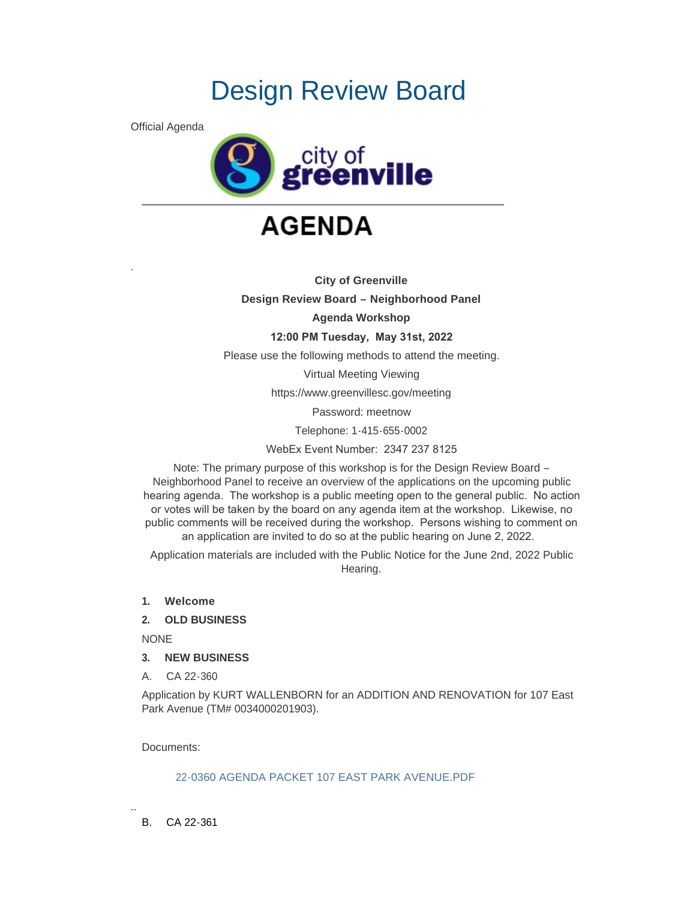# Design Review Board

Official Agenda

.



## **AGENDA**

**City of Greenville Design Review Board – Neighborhood Panel Agenda Workshop 12:00 PM Tuesday, May 31st, 2022** Please use the following methods to attend the meeting. Virtual Meeting Viewing https://www.greenvillesc.gov/meeting Password: meetnow Telephone: 1-415-655-0002

WebEx Event Number: 2347 237 8125

Note: The primary purpose of this workshop is for the Design Review Board – Neighborhood Panel to receive an overview of the applications on the upcoming public hearing agenda. The workshop is a public meeting open to the general public. No action or votes will be taken by the board on any agenda item at the workshop. Likewise, no public comments will be received during the workshop. Persons wishing to comment on an application are invited to do so at the public hearing on June 2, 2022.

Application materials are included with the Public Notice for the June 2nd, 2022 Public Hearing.

- **1. Welcome**
- **2. OLD BUSINESS**

NONE

- **3. NEW BUSINESS**
- A. CA 22-360

Application by KURT WALLENBORN for an ADDITION AND RENOVATION for 107 East Park Avenue (TM# 0034000201903).

Documents:

### [22-0360 AGENDA PACKET 107 EAST PARK AVENUE.PDF](https://www.greenvillesc.gov/AgendaCenter/ViewFile/Item/9637?fileID=53105)

B. CA 22-361

..